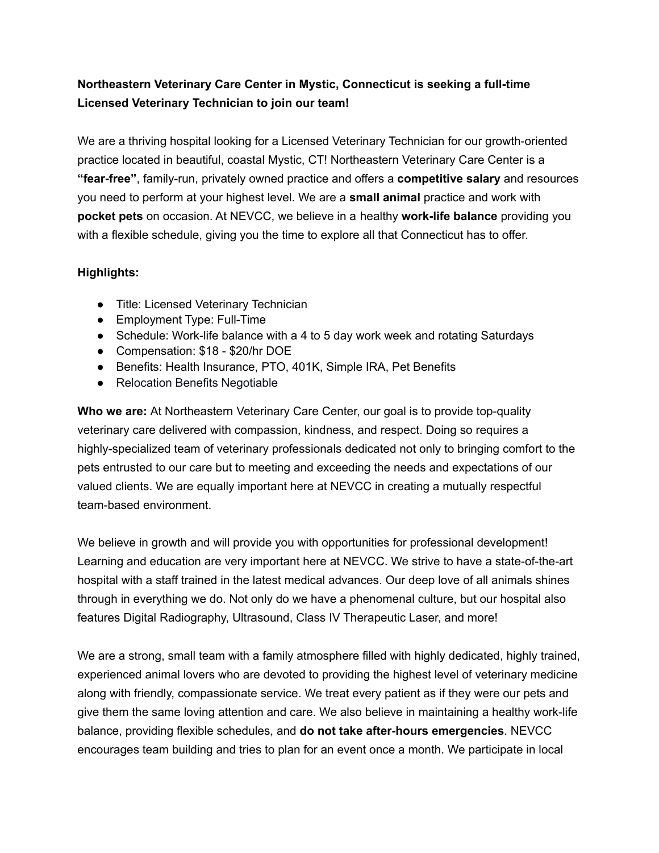## **Northeastern Veterinary Care Center in Mystic, Connecticut is seeking a full-time Licensed Veterinary Technician to join our team!**

We are a thriving hospital looking for a Licensed Veterinary Technician for our growth-oriented practice located in beautiful, coastal Mystic, CT! Northeastern Veterinary Care Center is a **"fear-free"**, family-run, privately owned practice and offers a **competitive salary** and resources you need to perform at your highest level. We are a **small animal** practice and work with **pocket pets** on occasion. At NEVCC, we believe in a healthy **work-life balance** providing you with a flexible schedule, giving you the time to explore all that Connecticut has to offer.

## **Highlights:**

- Title: Licensed Veterinary Technician
- Employment Type: Full-Time
- Schedule: Work-life balance with a 4 to 5 day work week and rotating Saturdays
- Compensation: \$18 \$20/hr DOE
- Benefits: Health Insurance, PTO, 401K, Simple IRA, Pet Benefits
- Relocation Benefits Negotiable

**Who we are:** At Northeastern Veterinary Care Center, our goal is to provide top-quality veterinary care delivered with compassion, kindness, and respect. Doing so requires a highly-specialized team of veterinary professionals dedicated not only to bringing comfort to the pets entrusted to our care but to meeting and exceeding the needs and expectations of our valued clients. We are equally important here at NEVCC in creating a mutually respectful team-based environment.

We believe in growth and will provide you with opportunities for professional development! Learning and education are very important here at NEVCC. We strive to have a state-of-the-art hospital with a staff trained in the latest medical advances. Our deep love of all animals shines through in everything we do. Not only do we have a phenomenal culture, but our hospital also features Digital Radiography, Ultrasound, Class IV Therapeutic Laser, and more!

We are a strong, small team with a family atmosphere filled with highly dedicated, highly trained, experienced animal lovers who are devoted to providing the highest level of veterinary medicine along with friendly, compassionate service. We treat every patient as if they were our pets and give them the same loving attention and care. We also believe in maintaining a healthy work-life balance, providing flexible schedules, and **do not take after-hours emergencies**. NEVCC encourages team building and tries to plan for an event once a month. We participate in local